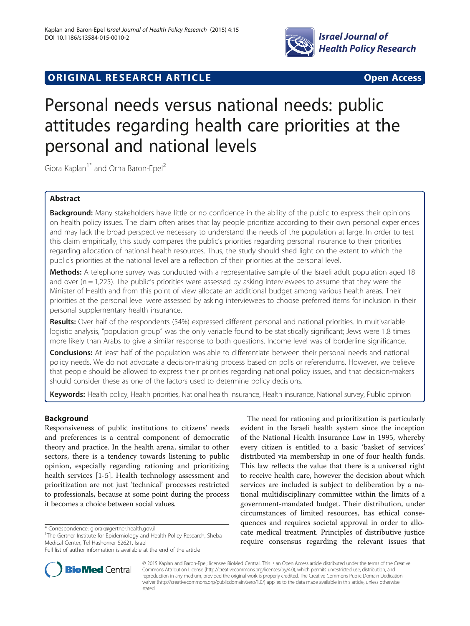

# **ORIGINAL RESEARCH ARTICLE CONSUMING ACCESS**

# Personal needs versus national needs: public attitudes regarding health care priorities at the personal and national levels

Giora Kaplan<sup>1\*</sup> and Orna Baron-Epel<sup>2</sup>

# Abstract

Background: Many stakeholders have little or no confidence in the ability of the public to express their opinions on health policy issues. The claim often arises that lay people prioritize according to their own personal experiences and may lack the broad perspective necessary to understand the needs of the population at large. In order to test this claim empirically, this study compares the public's priorities regarding personal insurance to their priorities regarding allocation of national health resources. Thus, the study should shed light on the extent to which the public's priorities at the national level are a reflection of their priorities at the personal level.

Methods: A telephone survey was conducted with a representative sample of the Israeli adult population aged 18 and over  $(n = 1,225)$ . The public's priorities were assessed by asking interviewees to assume that they were the Minister of Health and from this point of view allocate an additional budget among various health areas. Their priorities at the personal level were assessed by asking interviewees to choose preferred items for inclusion in their personal supplementary health insurance.

Results: Over half of the respondents (54%) expressed different personal and national priorities. In multivariable logistic analysis, "population group" was the only variable found to be statistically significant; Jews were 1.8 times more likely than Arabs to give a similar response to both questions. Income level was of borderline significance.

**Conclusions:** At least half of the population was able to differentiate between their personal needs and national policy needs. We do not advocate a decision-making process based on polls or referendums. However, we believe that people should be allowed to express their priorities regarding national policy issues, and that decision-makers should consider these as one of the factors used to determine policy decisions.

Keywords: Health policy, Health priorities, National health insurance, Health insurance, National survey, Public opinion

# Background

Responsiveness of public institutions to citizens' needs and preferences is a central component of democratic theory and practice. In the health arena, similar to other sectors, there is a tendency towards listening to public opinion, especially regarding rationing and prioritizing health services [\[1](#page-5-0)-[5\]](#page-5-0). Health technology assessment and prioritization are not just 'technical' processes restricted to professionals, because at some point during the process it becomes a choice between social values.

<sup>1</sup>The Gertner Institute for Epidemiology and Health Policy Research, Sheba Medical Center, Tel Hashomer 52621, Israel

The need for rationing and prioritization is particularly evident in the Israeli health system since the inception of the National Health Insurance Law in 1995, whereby every citizen is entitled to a basic 'basket of services' distributed via membership in one of four health funds. This law reflects the value that there is a universal right to receive health care, however the decision about which services are included is subject to deliberation by a national multidisciplinary committee within the limits of a government-mandated budget. Their distribution, under circumstances of limited resources, has ethical consequences and requires societal approval in order to allocate medical treatment. Principles of distributive justice require consensus regarding the relevant issues that



© 2015 Kaplan and Baron-Epel; licensee BioMed Central. This is an Open Access article distributed under the terms of the Creative Commons Attribution License [\(http://creativecommons.org/licenses/by/4.0](http://creativecommons.org/licenses/by/4.0)), which permits unrestricted use, distribution, and reproduction in any medium, provided the original work is properly credited. The Creative Commons Public Domain Dedication waiver ([http://creativecommons.org/publicdomain/zero/1.0/\)](http://creativecommons.org/publicdomain/zero/1.0/) applies to the data made available in this article, unless otherwise stated.

<sup>\*</sup> Correspondence: [giorak@gertner.health.gov.il](mailto:giorak@gertner.health.gov.il) <sup>1</sup>

Full list of author information is available at the end of the article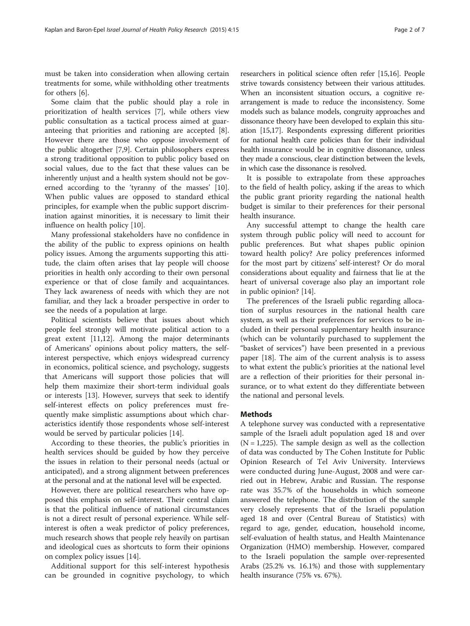must be taken into consideration when allowing certain treatments for some, while withholding other treatments for others [[6\]](#page-5-0).

Some claim that the public should play a role in prioritization of health services [\[7](#page-5-0)], while others view public consultation as a tactical process aimed at guaranteeing that priorities and rationing are accepted [\[8](#page-5-0)]. However there are those who oppose involvement of the public altogether [[7,9\]](#page-5-0). Certain philosophers express a strong traditional opposition to public policy based on social values, due to the fact that these values can be inherently unjust and a health system should not be governed according to the 'tyranny of the masses' [\[10](#page-5-0)]. When public values are opposed to standard ethical principles, for example when the public support discrimination against minorities, it is necessary to limit their influence on health policy [[10\]](#page-5-0).

Many professional stakeholders have no confidence in the ability of the public to express opinions on health policy issues. Among the arguments supporting this attitude, the claim often arises that lay people will choose priorities in health only according to their own personal experience or that of close family and acquaintances. They lack awareness of needs with which they are not familiar, and they lack a broader perspective in order to see the needs of a population at large.

Political scientists believe that issues about which people feel strongly will motivate political action to a great extent [[11,12\]](#page-5-0). Among the major determinants of Americans' opinions about policy matters, the selfinterest perspective, which enjoys widespread currency in economics, political science, and psychology, suggests that Americans will support those policies that will help them maximize their short-term individual goals or interests [[13\]](#page-5-0). However, surveys that seek to identify self-interest effects on policy preferences must frequently make simplistic assumptions about which characteristics identify those respondents whose self-interest would be served by particular policies [[14\]](#page-5-0).

According to these theories, the public's priorities in health services should be guided by how they perceive the issues in relation to their personal needs (actual or anticipated), and a strong alignment between preferences at the personal and at the national level will be expected.

However, there are political researchers who have opposed this emphasis on self-interest. Their central claim is that the political influence of national circumstances is not a direct result of personal experience. While selfinterest is often a weak predictor of policy preferences, much research shows that people rely heavily on partisan and ideological cues as shortcuts to form their opinions on complex policy issues [\[14](#page-5-0)].

Additional support for this self-interest hypothesis can be grounded in cognitive psychology, to which

researchers in political science often refer [\[15,](#page-5-0)[16](#page-6-0)]. People strive towards consistency between their various attitudes. When an inconsistent situation occurs, a cognitive rearrangement is made to reduce the inconsistency. Some models such as balance models, congruity approaches and dissonance theory have been developed to explain this situation [[15](#page-5-0)[,17\]](#page-6-0). Respondents expressing different priorities for national health care policies than for their individual health insurance would be in cognitive dissonance, unless they made a conscious, clear distinction between the levels, in which case the dissonance is resolved.

It is possible to extrapolate from these approaches to the field of health policy, asking if the areas to which the public grant priority regarding the national health budget is similar to their preferences for their personal health insurance.

Any successful attempt to change the health care system through public policy will need to account for public preferences. But what shapes public opinion toward health policy? Are policy preferences informed for the most part by citizens' self-interest? Or do moral considerations about equality and fairness that lie at the heart of universal coverage also play an important role in public opinion? [[14\]](#page-5-0).

The preferences of the Israeli public regarding allocation of surplus resources in the national health care system, as well as their preferences for services to be included in their personal supplementary health insurance (which can be voluntarily purchased to supplement the "basket of services") have been presented in a previous paper [[18\]](#page-6-0). The aim of the current analysis is to assess to what extent the public's priorities at the national level are a reflection of their priorities for their personal insurance, or to what extent do they differentiate between the national and personal levels.

# Methods

A telephone survey was conducted with a representative sample of the Israeli adult population aged 18 and over  $(N = 1,225)$ . The sample design as well as the collection of data was conducted by The Cohen Institute for Public Opinion Research of Tel Aviv University. Interviews were conducted during June-August, 2008 and were carried out in Hebrew, Arabic and Russian. The response rate was 35.7% of the households in which someone answered the telephone. The distribution of the sample very closely represents that of the Israeli population aged 18 and over (Central Bureau of Statistics) with regard to age, gender, education, household income, self-evaluation of health status, and Health Maintenance Organization (HMO) membership. However, compared to the Israeli population the sample over-represented Arabs (25.2% vs. 16.1%) and those with supplementary health insurance (75% vs. 67%).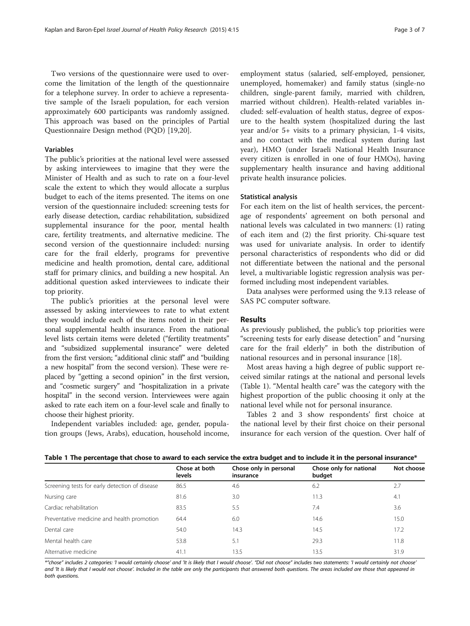Two versions of the questionnaire were used to overcome the limitation of the length of the questionnaire for a telephone survey. In order to achieve a representative sample of the Israeli population, for each version approximately 600 participants was randomly assigned. This approach was based on the principles of Partial Questionnaire Design method (PQD) [[19](#page-6-0),[20](#page-6-0)].

#### Variables

The public's priorities at the national level were assessed by asking interviewees to imagine that they were the Minister of Health and as such to rate on a four-level scale the extent to which they would allocate a surplus budget to each of the items presented. The items on one version of the questionnaire included: screening tests for early disease detection, cardiac rehabilitation, subsidized supplemental insurance for the poor, mental health care, fertility treatments, and alternative medicine. The second version of the questionnaire included: nursing care for the frail elderly, programs for preventive medicine and health promotion, dental care, additional staff for primary clinics, and building a new hospital. An additional question asked interviewees to indicate their top priority.

The public's priorities at the personal level were assessed by asking interviewees to rate to what extent they would include each of the items noted in their personal supplemental health insurance. From the national level lists certain items were deleted ("fertility treatments" and "subsidized supplemental insurance" were deleted from the first version; "additional clinic staff" and "building a new hospital" from the second version). These were replaced by "getting a second opinion" in the first version, and "cosmetic surgery" and "hospitalization in a private hospital" in the second version. Interviewees were again asked to rate each item on a four-level scale and finally to choose their highest priority.

Independent variables included: age, gender, population groups (Jews, Arabs), education, household income,

employment status (salaried, self-employed, pensioner, unemployed, homemaker) and family status (single-no children, single-parent family, married with children, married without children). Health-related variables included: self-evaluation of health status, degree of exposure to the health system (hospitalized during the last year and/or 5+ visits to a primary physician, 1-4 visits, and no contact with the medical system during last year), HMO (under Israeli National Health Insurance every citizen is enrolled in one of four HMOs), having supplementary health insurance and having additional private health insurance policies.

#### Statistical analysis

For each item on the list of health services, the percentage of respondents' agreement on both personal and national levels was calculated in two manners: (1) rating of each item and (2) the first priority. Chi-square test was used for univariate analysis. In order to identify personal characteristics of respondents who did or did not differentiate between the national and the personal level, a multivariable logistic regression analysis was performed including most independent variables.

Data analyses were performed using the 9.13 release of SAS PC computer software.

# Results

As previously published, the public's top priorities were "screening tests for early disease detection" and "nursing care for the frail elderly" in both the distribution of national resources and in personal insurance [\[18\]](#page-6-0).

Most areas having a high degree of public support received similar ratings at the national and personal levels (Table 1). "Mental health care" was the category with the highest proportion of the public choosing it only at the national level while not for personal insurance.

Tables [2](#page-3-0) and [3](#page-3-0) show respondents' first choice at the national level by their first choice on their personal insurance for each version of the question. Over half of

|  |  |  |  | Table 1 The percentage that chose to award to each service the extra budget and to include it in the personal insurance* |
|--|--|--|--|--------------------------------------------------------------------------------------------------------------------------|
|--|--|--|--|--------------------------------------------------------------------------------------------------------------------------|

|                                                | Chose at both<br>levels | Chose only in personal<br>insurance | Chose only for national<br>budget | Not choose |
|------------------------------------------------|-------------------------|-------------------------------------|-----------------------------------|------------|
| Screening tests for early detection of disease | 86.5                    | 4.6                                 | 6.2                               | 2.7        |
| Nursing care                                   | 81.6                    | 3.0                                 | 11.3                              | 4.1        |
| Cardiac rehabilitation                         | 83.5                    | 5.5                                 | 7.4                               | 3.6        |
| Preventative medicine and health promotion     | 64.4                    | 6.0                                 | 14.6                              | 15.0       |
| Dental care                                    | 54.0                    | 14.3                                | 14.5                              | 17.2       |
| Mental health care                             | 53.8                    | 5.1                                 | 29.3                              | 11.8       |
| Alternative medicine                           | 41.1                    | 13.5                                | 13.5                              | 31.9       |

\*"chose" includes 2 categories: 'I would certainly choose' and 'It is likely that I would choose'. "Did not choose" includes two statements: 'I would certainly not choose' and 'It is likely that I would not choose'. Included in the table are only the participants that answered both questions. The areas included are those that appeared in both questions.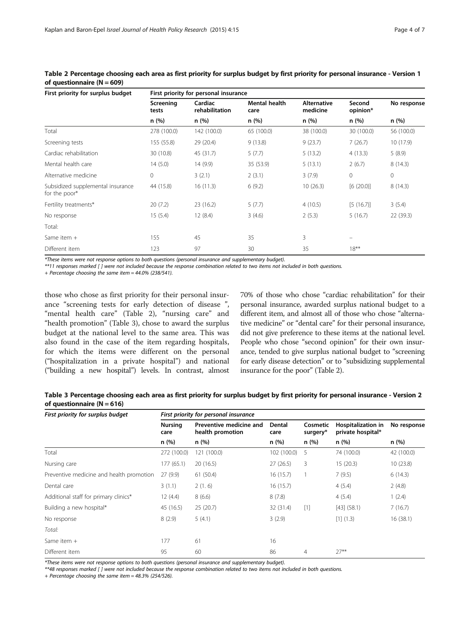| First priority for surplus budget                  | First priority for personal insurance |                                    |                              |                                |                             |                      |  |
|----------------------------------------------------|---------------------------------------|------------------------------------|------------------------------|--------------------------------|-----------------------------|----------------------|--|
|                                                    | Screening<br>tests<br>n(%)            | Cardiac<br>rehabilitation<br>n (%) | <b>Mental health</b><br>care | <b>Alternative</b><br>medicine | Second<br>opinion*<br>n (%) | No response<br>n (%) |  |
|                                                    |                                       |                                    | n(%)                         | n(%)                           |                             |                      |  |
| Total                                              | 278 (100.0)                           | 142 (100.0)                        | 65 (100.0)                   | 38 (100.0)                     | 30 (100.0)                  | 56 (100.0)           |  |
| Screening tests                                    | 155 (55.8)                            | 29 (20.4)                          | 9(13.8)                      | 9(23.7)                        | 7(26.7)                     | 10(17.9)             |  |
| Cardiac rehabilitation                             | 30 (10.8)                             | 45 (31.7)                          | 5(7.7)                       | 5(13.2)                        | 4(13.3)                     | 5(8.9)               |  |
| Mental health care                                 | 14(5.0)                               | 14(9.9)                            | 35 (53.9)                    | 5(13.1)                        | 2(6.7)                      | 8(14.3)              |  |
| Alternative medicine                               | $\Omega$                              | 3(2.1)                             | 2(3.1)                       | 3(7.9)                         | 0                           | 0                    |  |
| Subsidized supplemental insurance<br>for the poor* | 44 (15.8)                             | 16(11.3)                           | 6(9.2)                       | 10(26.3)                       | [6(20.0)]                   | 8(14.3)              |  |
| Fertility treatments*                              | 20(7.2)                               | 23(16.2)                           | 5(7.7)                       | 4(10.5)                        | [5(16.7)]                   | 3(5.4)               |  |
| No response                                        | 15(5.4)                               | 12(8.4)                            | 3(4.6)                       | 2(5.3)                         | 5(16.7)                     | 22 (39.3)            |  |
| Total:                                             |                                       |                                    |                              |                                |                             |                      |  |
| Same item $+$                                      | 155                                   | 45                                 | 35                           | 3                              | -                           |                      |  |
| Different item                                     | 123                                   | 97                                 | 30                           | 35                             | $18***$                     |                      |  |

<span id="page-3-0"></span>Table 2 Percentage choosing each area as first priority for surplus budget by first priority for personal insurance - Version 1 of questionnaire  $(N = 609)$ 

\*These items were not response options to both questions (personal insurance and supplementary budget).

\*\*11 responses marked [ ] were not included because the response combination related to two items not included in both questions.

+ Percentage choosing the same item = 44.0% (238/541).

those who chose as first priority for their personal insurance "screening tests for early detection of disease ", "mental health care" (Table 2), "nursing care" and "health promotion" (Table 3), chose to award the surplus budget at the national level to the same area. This was also found in the case of the item regarding hospitals, for which the items were different on the personal ("hospitalization in a private hospital") and national ("building a new hospital") levels. In contrast, almost

70% of those who chose "cardiac rehabilitation" for their personal insurance, awarded surplus national budget to a different item, and almost all of those who chose "alternative medicine" or "dental care" for their personal insurance, did not give preference to these items at the national level. People who chose "second opinion" for their own insurance, tended to give surplus national budget to "screening for early disease detection" or to "subsidizing supplemental insurance for the poor" (Table 2).

Table 3 Percentage choosing each area as first priority for surplus budget by first priority for personal insurance - Version 2 of questionnaire  $(N = 616)$ 

| First priority for surplus budget        | First priority for personal insurance |                                                     |                       |                              |                                                 |                     |  |
|------------------------------------------|---------------------------------------|-----------------------------------------------------|-----------------------|------------------------------|-------------------------------------------------|---------------------|--|
|                                          | Nursing<br>care                       | Preventive medicine and<br>health promotion<br>n(%) | <b>Dental</b><br>care | Cosmetic<br>surgery*<br>n(%) | Hospitalization in<br>private hospital*<br>n(%) | No response<br>n(%) |  |
|                                          | n(%)                                  |                                                     | n(%)                  |                              |                                                 |                     |  |
| Total                                    | 272 (100.0)                           | 121 (100.0)                                         | 102 (100.0)           | 5                            | 74 (100.0)                                      | 42 (100.0)          |  |
| Nursing care                             | 177 (65.1)                            | 20(16.5)                                            | 27(26.5)              | 3                            | 15(20.3)                                        | 10(23.8)            |  |
| Preventive medicine and health promotion | 27(9.9)                               | 61 (50.4)                                           | 16(15.7)              |                              | 7(9.5)                                          | 6(14.3)             |  |
| Dental care                              | 3(1.1)                                | 2(1.6)                                              | 16(15.7)              |                              | 4(5.4)                                          | 2(4.8)              |  |
| Additional staff for primary clinics*    | 12(4.4)                               | 8(6.6)                                              | 8(7.8)                |                              | 4(5.4)                                          | 1(2.4)              |  |
| Building a new hospital*                 | 45 (16.5)                             | 25(20.7)                                            | 32 (31.4)             | [1]                          | [43] (58.1)                                     | 7(16.7)             |  |
| No response                              | 8(2.9)                                | 5(4.1)                                              | 3(2.9)                |                              | $[1]$ $(1.3)$                                   | 16(38.1)            |  |
| Total:                                   |                                       |                                                     |                       |                              |                                                 |                     |  |
| Same item $+$                            | 177                                   | 61                                                  | 16                    |                              |                                                 |                     |  |
| Different item                           | 95                                    | 60                                                  | 86                    | $\overline{4}$               | $27***$                                         |                     |  |

\*These items were not response options to both questions (personal insurance and supplementary budget).

\*\*48 responses marked [ ] were not included because the response combination related to two items not included in both questions.

+ Percentage choosing the same item = 48.3% (254/526).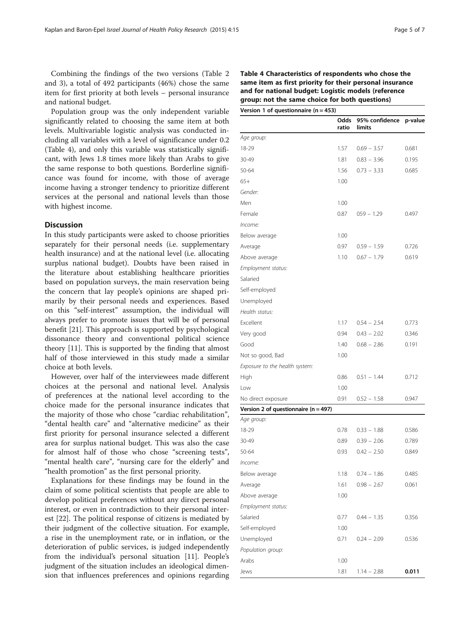Combining the findings of the two versions (Table [2](#page-3-0) and [3](#page-3-0)), a total of 492 participants (46%) chose the same item for first priority at both levels – personal insurance and national budget.

Population group was the only independent variable significantly related to choosing the same item at both levels. Multivariable logistic analysis was conducted including all variables with a level of significance under 0.2 (Table 4), and only this variable was statistically significant, with Jews 1.8 times more likely than Arabs to give the same response to both questions. Borderline significance was found for income, with those of average income having a stronger tendency to prioritize different services at the personal and national levels than those with highest income.

# **Discussion**

In this study participants were asked to choose priorities separately for their personal needs (i.e. supplementary health insurance) and at the national level (i.e. allocating surplus national budget). Doubts have been raised in the literature about establishing healthcare priorities based on population surveys, the main reservation being the concern that lay people's opinions are shaped primarily by their personal needs and experiences. Based on this "self-interest" assumption, the individual will always prefer to promote issues that will be of personal benefit [[21\]](#page-6-0). This approach is supported by psychological dissonance theory and conventional political science theory [\[11](#page-5-0)]. This is supported by the finding that almost half of those interviewed in this study made a similar choice at both levels.

However, over half of the interviewees made different choices at the personal and national level. Analysis of preferences at the national level according to the choice made for the personal insurance indicates that the majority of those who chose "cardiac rehabilitation", "dental health care" and "alternative medicine" as their first priority for personal insurance selected a different area for surplus national budget. This was also the case for almost half of those who chose "screening tests", "mental health care", "nursing care for the elderly" and "health promotion" as the first personal priority.

Explanations for these findings may be found in the claim of some political scientists that people are able to develop political preferences without any direct personal interest, or even in contradiction to their personal interest [\[22](#page-6-0)]. The political response of citizens is mediated by their judgment of the collective situation. For example, a rise in the unemployment rate, or in inflation, or the deterioration of public services, is judged independently from the individual's personal situation [\[11](#page-5-0)]. People's judgment of the situation includes an ideological dimension that influences preferences and opinions regarding

| Version 1 of questionnaire ( $n = 453$ ) |               |                          |         |  |  |  |  |
|------------------------------------------|---------------|--------------------------|---------|--|--|--|--|
|                                          | Odds<br>ratio | 95% confidence<br>limits | p-value |  |  |  |  |
| Age group:                               |               |                          |         |  |  |  |  |
| 18-29                                    | 1.57          | $0.69 - 3.57$            | 0.681   |  |  |  |  |
| 30-49                                    | 1.81          | $0.83 - 3.96$            | 0.195   |  |  |  |  |
| 50-64                                    | 1.56          | $0.73 - 3.33$            | 0.685   |  |  |  |  |
| $65+$                                    | 1.00          |                          |         |  |  |  |  |
| Gender:                                  |               |                          |         |  |  |  |  |
| Men                                      | 1.00          |                          |         |  |  |  |  |
| Female                                   | 0.87          | $059 - 1.29$             | 0.497   |  |  |  |  |
| Income:                                  |               |                          |         |  |  |  |  |
| Below average                            | 1.00          |                          |         |  |  |  |  |
| Average                                  | 0.97          | $0.59 - 1.59$            | 0.726   |  |  |  |  |
| Above average                            | 1.10          | $0.67 - 1.79$            | 0.619   |  |  |  |  |
| Employment status:                       |               |                          |         |  |  |  |  |
| Salaried                                 |               |                          |         |  |  |  |  |
| Self-employed                            |               |                          |         |  |  |  |  |
| Unemployed                               |               |                          |         |  |  |  |  |
| Health status:                           |               |                          |         |  |  |  |  |
| Excellent                                | 1.17          | $0.54 - 2.54$            | 0.773   |  |  |  |  |
| Very good                                | 0.94          | $0.43 - 2.02$            | 0.346   |  |  |  |  |
| Good                                     | 1.40          | $0.68 - 2.86$            | 0.191   |  |  |  |  |
| Not so good, Bad                         | 1.00          |                          |         |  |  |  |  |
| Exposure to the health system:           |               |                          |         |  |  |  |  |
| High                                     | 0.86          | $0.51 - 1.44$            | 0.712   |  |  |  |  |
| Low                                      | 1.00          |                          |         |  |  |  |  |
| No direct exposure                       | 0.91          | $0.52 - 1.58$            | 0.947   |  |  |  |  |
| Version 2 of questionnaire ( $n = 497$ ) |               |                          |         |  |  |  |  |
| Age group:                               |               |                          |         |  |  |  |  |
| 18-29                                    | 0.78          | $0.33 - 1.88$            | 0.586   |  |  |  |  |
| 30-49                                    | 0.89          | $0.39 - 2.06$            | 0.789   |  |  |  |  |
| 50-64                                    | 0.93          | $0.42 - 2.50$            | 0.849   |  |  |  |  |
| Income:                                  |               |                          |         |  |  |  |  |
| Below average                            | 1.18          | $0.74 - 1.86$            | 0.485   |  |  |  |  |
| Average                                  | 1.61          | $0.98 - 2.67$            | 0.061   |  |  |  |  |
| Above average                            | 1.00          |                          |         |  |  |  |  |
| Employment status:                       |               |                          |         |  |  |  |  |
| Salaried                                 | 0.77          | $0.44 - 1.35$            | 0.356   |  |  |  |  |
| Self-employed                            | 1.00          |                          |         |  |  |  |  |
| Unemployed                               | 0.71          | $0.24 - 2.09$            | 0.536   |  |  |  |  |
| Population group:                        |               |                          |         |  |  |  |  |
| Arabs                                    | 1.00          |                          |         |  |  |  |  |
| Jews                                     | 1.81          | $1.14 - 2.88$            | 0.011   |  |  |  |  |

Table 4 Characteristics of respondents who chose the same item as first priority for their personal insurance and for national budget: Logistic models (reference group: not the same choice for both questions)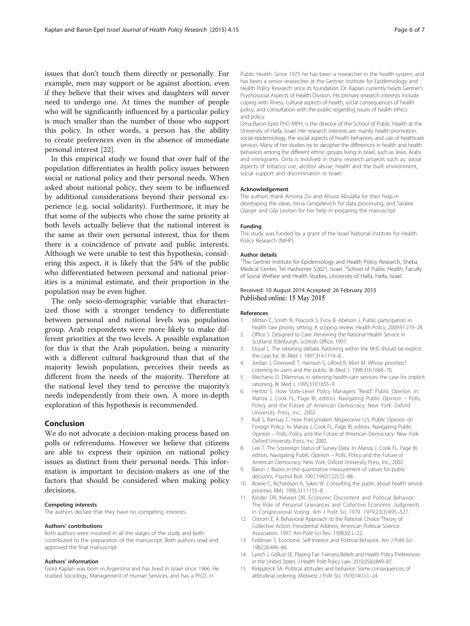<span id="page-5-0"></span>issues that don't touch them directly or personally. For example, men may support or be against abortion, even if they believe that their wives and daughters will never need to undergo one. At times the number of people who will be significantly influenced by a particular policy is much smaller than the number of those who support this policy. In other words, a person has the ability to create preferences even in the absence of immediate personal interest [[22\]](#page-6-0).

In this empirical study we found that over half of the population differentiates in health policy issues between social or national policy and their personal needs. When asked about national policy, they seem to be influenced by additional considerations beyond their personal experience (e.g. social solidarity). Furthermore, it may be that some of the subjects who chose the same priority at both levels actually believe that the national interest is the same as their own personal interest, thus for them there is a coincidence of private and public interests. Although we were unable to test this hypothesis, considering this aspect, it is likely that the 54% of the public who differentiated between personal and national priorities is a minimal estimate, and their proportion in the population may be even higher.

The only socio-demographic variable that characterized those with a stronger tendency to differentiate between personal and national levels was population group. Arab respondents were more likely to make different priorities at the two levels. A possible explanation for this is that the Arab population, being a minority with a different cultural background than that of the majority Jewish population, perceives their needs as different from the needs of the majority. Therefore at the national level they tend to perceive the majority's needs independently from their own. A more in-depth exploration of this hypothesis is recommended.

# Conclusion

We do not advocate a decision-making process based on polls or referendums. However we believe that citizens are able to express their opinion on national policy issues as distinct from their personal needs. This information is important to decision-makers as one of the factors that should be considered when making policy decisions.

# Competing interests

The authors declare that they have no competing interests.

#### Authors' contributions

Both authors were involved in all the stages of the study and both contributed to the preparation of the manuscript. Both authors read and approved the final manuscript.

#### Authors' information

Giora Kaplan was born in Argentina and has lived in Israel since 1966. He studied Sociology, Management of Human Services, and has a Ph.D. in

Public Health. Since 1975 he has been a researcher in the health system, and has been a senior researcher at the Gertner Institute for Epidemiology and Health Policy Research since its foundation. Dr. Kaplan currently heads Gertner's Psychosocial Aspects of Health Division. His primary research interests include: coping with illness, cultural aspects of health, social consequences of health policy, and consultation with the public regarding issues of health ethics and policy.

Orna Baron-Epel, PhD MPH, is the director of the School of Public Health at the University of Haifa, Israel. Her research interests are mainly: health promotion, social epidemiology, the social aspects of health behaviors, and use of healthcare services. Many of her studies try to decipher the differences in health and health behaviors among the different ethnic groups living in Israel, such as Jews, Arabs and immigrants. Orna is involved in many research projects such as: social aspects of tobacco use, alcohol abuse, health and the built environment, social support and discrimination in Israel.

### Acknowledgement

The authors thank Arnona Ziv and Ahuva Abulafia for their help in developing the ideas, Irena Gimpelevich for data processing, and Saralee Glasser and Gila Levitan for her help in preparing the manuscript.

#### Funding

The study was funded by a grant of the Israel National Institute for Health Policy Research (NIHP).

#### Author details

<sup>1</sup>The Gertner Institute for Epidemiology and Health Policy Research, Sheba Medical Center, Tel Hashomer 52621, Israel. <sup>2</sup>School of Public Health, Faculty of Social Welfare and Health Studies, University of Haifa, Haifa, Israel.

#### Received: 10 August 2014 Accepted: 26 February 2015 Published online: 15 May 2015

#### References

- 1. Mitton C, Smith N, Peacock S, Evoy B, Abelson J. Public participation in health care priority setting: A scoping review. Health Policy. 2009;91:219–28.
- 2. Office S. Designed to Care: Renewing the National Health Service in Scotland. Edinburgh: Scottish Office; 1997.
- 3. Doyal L. The rationing debate. Rationing within the NHS should be explicit: the case for. Br Med J. 1997;314:1114–8.
- 4. Jordan J, Dowswell T, Harrison S, Lilford R, Mort M. Whose priorities? Listening to users and the public. Br Med J. 1998;316:1668–70.
- 5. Mechanic D. Dilemmas in rationing health-care services: the case for implicit rationing. Br Med J. 1995;310:1655–9.
- 6. Herbst S. How State-Level Policy Managers "Read" Public Opinion. In: Manza J, Cook FL, Page BI, editors. Navigating Public Opinion – Polls, Policy and the Future of American Democracy. New York: Oxford University Press, Inc.; 2002.
- 7. Kull S, Ramsay C. How Policymakers Misperceive U.S. Public Opinion on Foreign Policy. In: Manza J, Cook FL, Page BI, editors. Navigating Public Opinion – Polls, Policy and the Future of American Democracy. New York: Oxford University Press, Inc; 2002.
- 8. Lee T. The Sovereign Status of Survey Data. In: Manza J, Cook FL, Page BI, editors. Navigating Public Opinion – Polls, Policy and the Future of American Democracy. New York: Oxford University Press, Inc.; 2002.
- 9. Baron J. Biases in the quantitative measurement of values for public decisions. Psychol Bull. 1997;1997(122):72–88.
- 10. Bowie C, Richardson A, Sykes W. Consulting the public about health service priorities. BMJ. 1995;311:1155–8.
- 11. Kinder DR, Kiewiet DR. Economic Discontent and Political Behavior: The Role of Personal Grievances and Collective Economic Judgments in Congressional Voting. Am J Polit Sci 1979. 1979;23(3):495–527.
- 12. Ostrom E. A Behavioral Approach to the Rational Choice Theory of Collective Action: Presidential Address, American Political Science Association, 1997. Am Polit Sci Rev. 1998;92:1–22.
- 13. Feldman S. Economic Self-Interest and Political Behavior. Am J Polit Sci. 1982;26:446–66.
- 14. Lynch J, Gollust SE. Playing Fair: Fairness Beliefs and Health Policy Preferences in the United States. J Health Polit Policy Law. 2010;35(6):849–87.
- 15. Kirkpatrick SA. Political attitudes and behavior: Some consequences of attitudinal ordering. Midwest J Polit Sci. 1970;14(1):1–24.